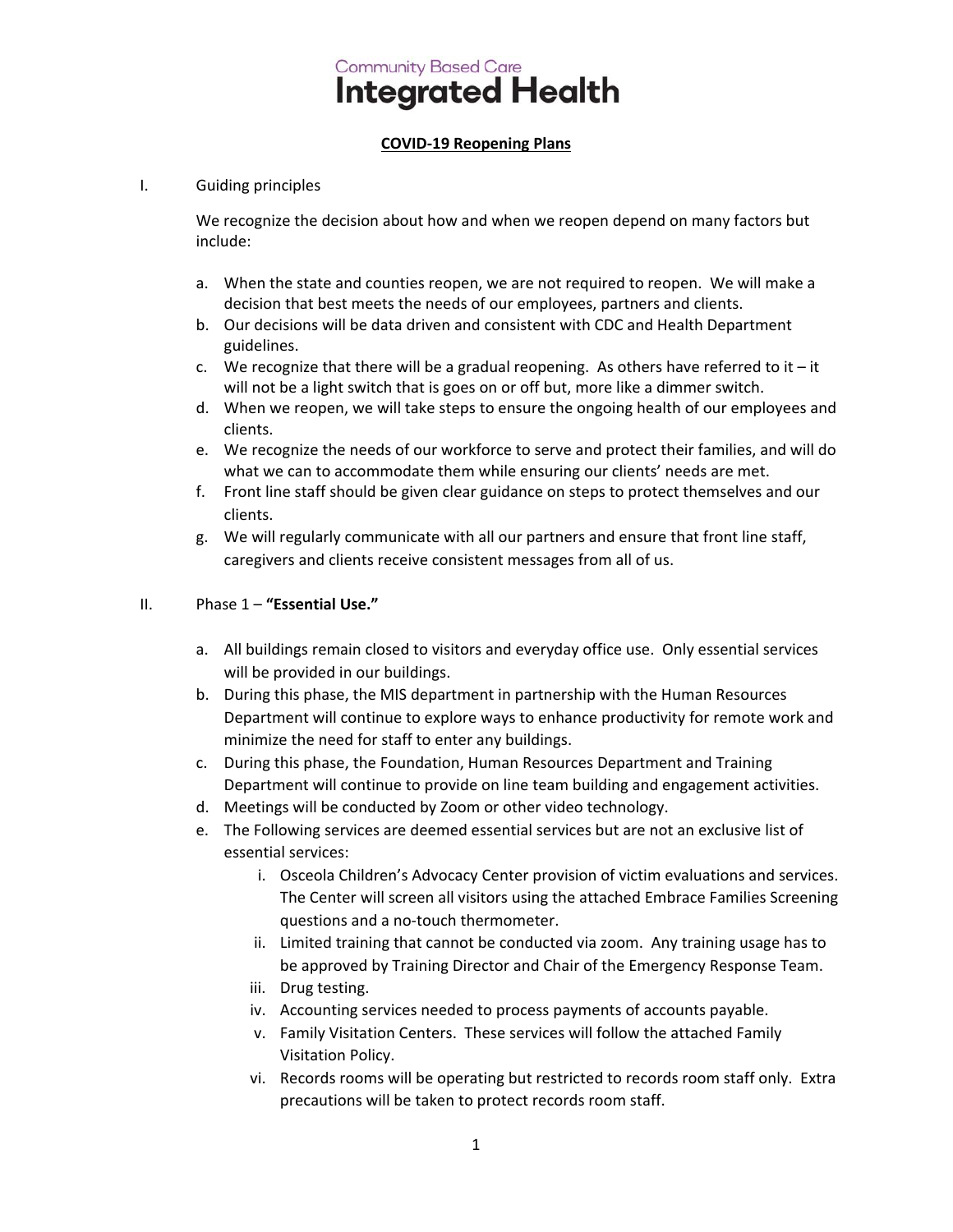# **Community Based Care Integrated Health**

## **COVID‐19 Reopening Plans**

#### I. Guiding principles

We recognize the decision about how and when we reopen depend on many factors but include:

- a. When the state and counties reopen, we are not required to reopen. We will make a decision that best meets the needs of our employees, partners and clients.
- b. Our decisions will be data driven and consistent with CDC and Health Department guidelines.
- c. We recognize that there will be a gradual reopening. As others have referred to it it will not be a light switch that is goes on or off but, more like a dimmer switch.
- d. When we reopen, we will take steps to ensure the ongoing health of our employees and clients.
- e. We recognize the needs of our workforce to serve and protect their families, and will do what we can to accommodate them while ensuring our clients' needs are met.
- f. Front line staff should be given clear guidance on steps to protect themselves and our clients.
- g. We will regularly communicate with all our partners and ensure that front line staff, caregivers and clients receive consistent messages from all of us.

#### II. Phase 1 – **"Essential Use."**

- a. All buildings remain closed to visitors and everyday office use. Only essential services will be provided in our buildings.
- b. During this phase, the MIS department in partnership with the Human Resources Department will continue to explore ways to enhance productivity for remote work and minimize the need for staff to enter any buildings.
- c. During this phase, the Foundation, Human Resources Department and Training Department will continue to provide on line team building and engagement activities.
- d. Meetings will be conducted by Zoom or other video technology.
- e. The Following services are deemed essential services but are not an exclusive list of essential services:
	- i. Osceola Children's Advocacy Center provision of victim evaluations and services. The Center will screen all visitors using the attached Embrace Families Screening questions and a no‐touch thermometer.
	- ii. Limited training that cannot be conducted via zoom. Any training usage has to be approved by Training Director and Chair of the Emergency Response Team.
	- iii. Drug testing.
	- iv. Accounting services needed to process payments of accounts payable.
	- v. Family Visitation Centers. These services will follow the attached Family Visitation Policy.
	- vi. Records rooms will be operating but restricted to records room staff only. Extra precautions will be taken to protect records room staff.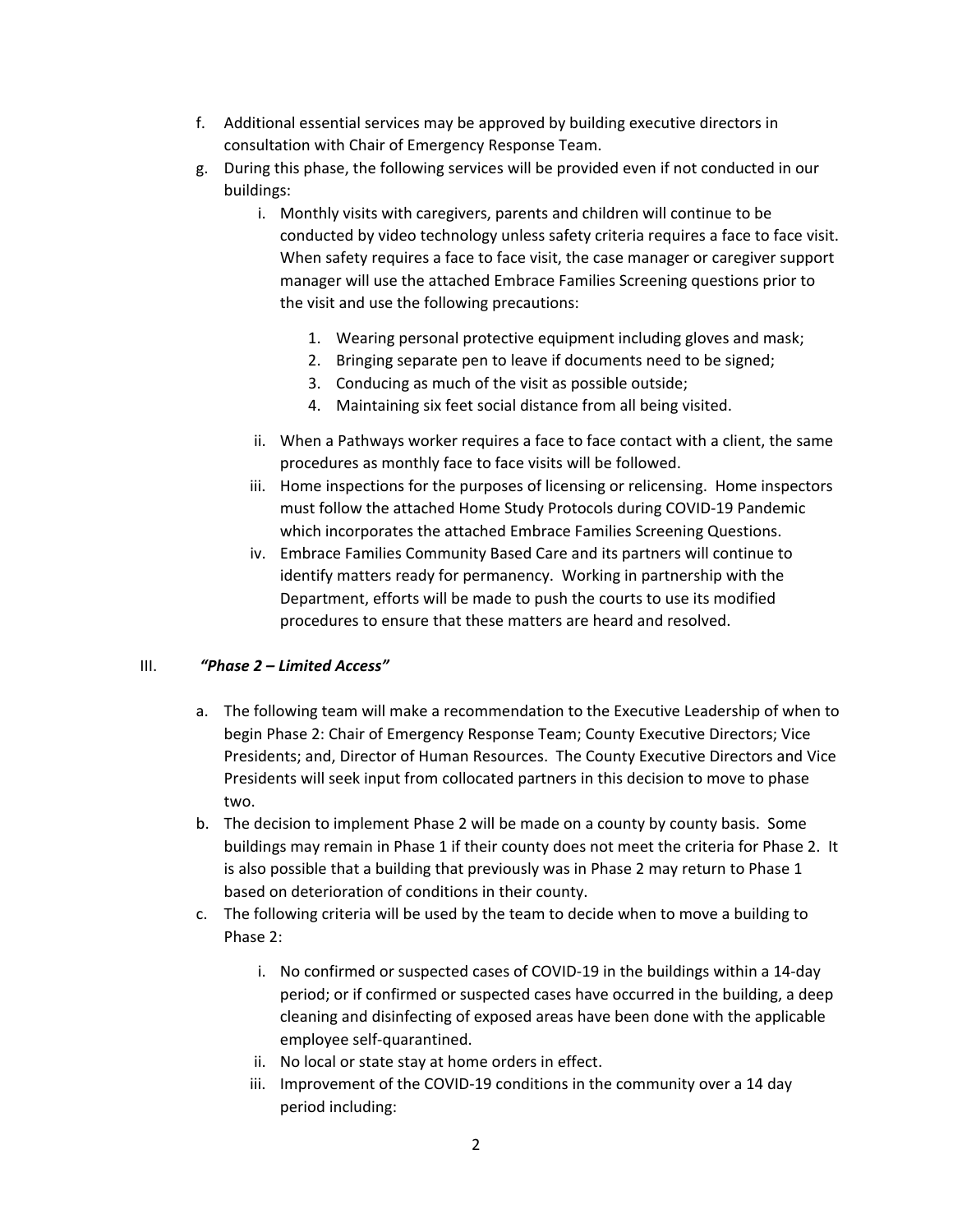- f. Additional essential services may be approved by building executive directors in consultation with Chair of Emergency Response Team.
- g. During this phase, the following services will be provided even if not conducted in our buildings:
	- i. Monthly visits with caregivers, parents and children will continue to be conducted by video technology unless safety criteria requires a face to face visit. When safety requires a face to face visit, the case manager or caregiver support manager will use the attached Embrace Families Screening questions prior to the visit and use the following precautions:
		- 1. Wearing personal protective equipment including gloves and mask;
		- 2. Bringing separate pen to leave if documents need to be signed;
		- 3. Conducing as much of the visit as possible outside;
		- 4. Maintaining six feet social distance from all being visited.
	- ii. When a Pathways worker requires a face to face contact with a client, the same procedures as monthly face to face visits will be followed.
	- iii. Home inspections for the purposes of licensing or relicensing. Home inspectors must follow the attached Home Study Protocols during COVID‐19 Pandemic which incorporates the attached Embrace Families Screening Questions.
	- iv. Embrace Families Community Based Care and its partners will continue to identify matters ready for permanency. Working in partnership with the Department, efforts will be made to push the courts to use its modified procedures to ensure that these matters are heard and resolved.

### III. *"Phase 2 – Limited Access"*

- a. The following team will make a recommendation to the Executive Leadership of when to begin Phase 2: Chair of Emergency Response Team; County Executive Directors; Vice Presidents; and, Director of Human Resources. The County Executive Directors and Vice Presidents will seek input from collocated partners in this decision to move to phase two.
- b. The decision to implement Phase 2 will be made on a county by county basis. Some buildings may remain in Phase 1 if their county does not meet the criteria for Phase 2. It is also possible that a building that previously was in Phase 2 may return to Phase 1 based on deterioration of conditions in their county.
- c. The following criteria will be used by the team to decide when to move a building to Phase 2:
	- i. No confirmed or suspected cases of COVID‐19 in the buildings within a 14‐day period; or if confirmed or suspected cases have occurred in the building, a deep cleaning and disinfecting of exposed areas have been done with the applicable employee self‐quarantined.
	- ii. No local or state stay at home orders in effect.
	- iii. Improvement of the COVID-19 conditions in the community over a 14 day period including: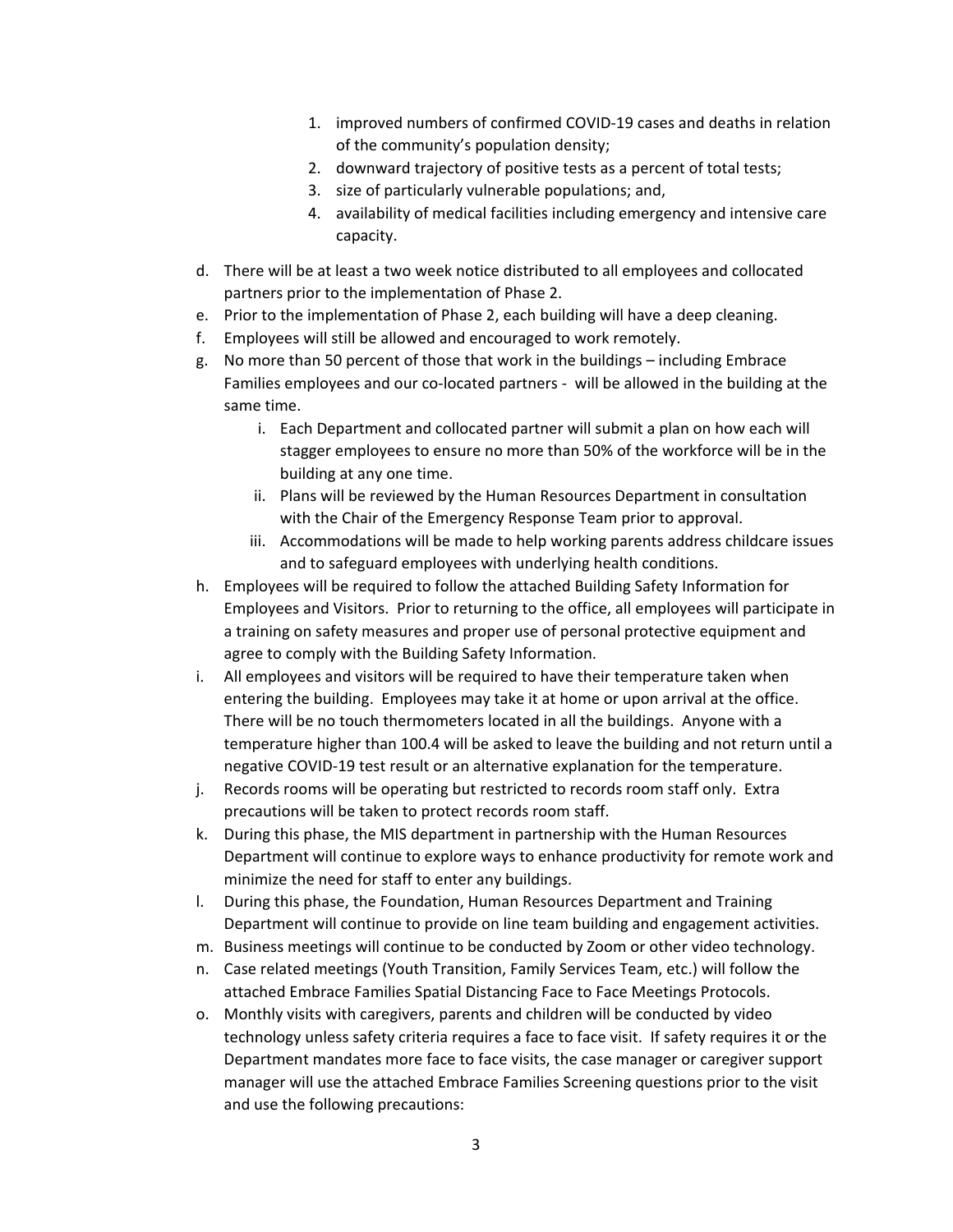- 1. improved numbers of confirmed COVID‐19 cases and deaths in relation of the community's population density;
- 2. downward trajectory of positive tests as a percent of total tests;
- 3. size of particularly vulnerable populations; and,
- 4. availability of medical facilities including emergency and intensive care capacity.
- d. There will be at least a two week notice distributed to all employees and collocated partners prior to the implementation of Phase 2.
- e. Prior to the implementation of Phase 2, each building will have a deep cleaning.
- f. Employees will still be allowed and encouraged to work remotely.
- g. No more than 50 percent of those that work in the buildings including Embrace Families employees and our co-located partners - will be allowed in the building at the same time.
	- i. Each Department and collocated partner will submit a plan on how each will stagger employees to ensure no more than 50% of the workforce will be in the building at any one time.
	- ii. Plans will be reviewed by the Human Resources Department in consultation with the Chair of the Emergency Response Team prior to approval.
	- iii. Accommodations will be made to help working parents address childcare issues and to safeguard employees with underlying health conditions.
- h. Employees will be required to follow the attached Building Safety Information for Employees and Visitors. Prior to returning to the office, all employees will participate in a training on safety measures and proper use of personal protective equipment and agree to comply with the Building Safety Information.
- i. All employees and visitors will be required to have their temperature taken when entering the building. Employees may take it at home or upon arrival at the office. There will be no touch thermometers located in all the buildings. Anyone with a temperature higher than 100.4 will be asked to leave the building and not return until a negative COVID‐19 test result or an alternative explanation for the temperature.
- j. Records rooms will be operating but restricted to records room staff only. Extra precautions will be taken to protect records room staff.
- k. During this phase, the MIS department in partnership with the Human Resources Department will continue to explore ways to enhance productivity for remote work and minimize the need for staff to enter any buildings.
- l. During this phase, the Foundation, Human Resources Department and Training Department will continue to provide on line team building and engagement activities.
- m. Business meetings will continue to be conducted by Zoom or other video technology.
- n. Case related meetings (Youth Transition, Family Services Team, etc.) will follow the attached Embrace Families Spatial Distancing Face to Face Meetings Protocols.
- o. Monthly visits with caregivers, parents and children will be conducted by video technology unless safety criteria requires a face to face visit. If safety requires it or the Department mandates more face to face visits, the case manager or caregiver support manager will use the attached Embrace Families Screening questions prior to the visit and use the following precautions: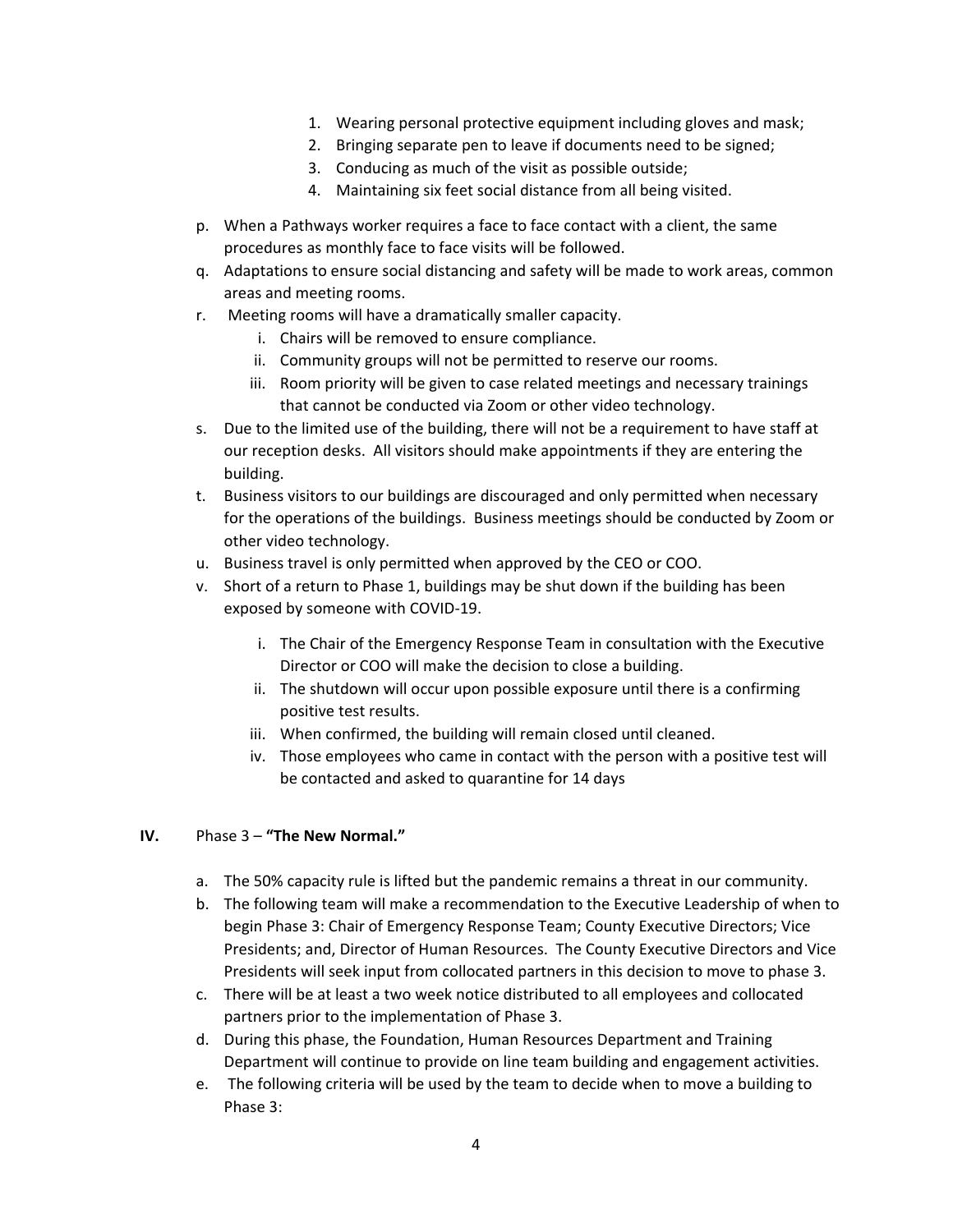- 1. Wearing personal protective equipment including gloves and mask;
- 2. Bringing separate pen to leave if documents need to be signed;
- 3. Conducing as much of the visit as possible outside;
- 4. Maintaining six feet social distance from all being visited.
- p. When a Pathways worker requires a face to face contact with a client, the same procedures as monthly face to face visits will be followed.
- q. Adaptations to ensure social distancing and safety will be made to work areas, common areas and meeting rooms.
- r. Meeting rooms will have a dramatically smaller capacity.
	- i. Chairs will be removed to ensure compliance.
	- ii. Community groups will not be permitted to reserve our rooms.
	- iii. Room priority will be given to case related meetings and necessary trainings that cannot be conducted via Zoom or other video technology.
- s. Due to the limited use of the building, there will not be a requirement to have staff at our reception desks. All visitors should make appointments if they are entering the building.
- t. Business visitors to our buildings are discouraged and only permitted when necessary for the operations of the buildings. Business meetings should be conducted by Zoom or other video technology.
- u. Business travel is only permitted when approved by the CEO or COO.
- v. Short of a return to Phase 1, buildings may be shut down if the building has been exposed by someone with COVID‐19.
	- i. The Chair of the Emergency Response Team in consultation with the Executive Director or COO will make the decision to close a building.
	- ii. The shutdown will occur upon possible exposure until there is a confirming positive test results.
	- iii. When confirmed, the building will remain closed until cleaned.
	- iv. Those employees who came in contact with the person with a positive test will be contacted and asked to quarantine for 14 days

#### **IV.** Phase 3 – **"The New Normal."**

- a. The 50% capacity rule is lifted but the pandemic remains a threat in our community.
- b. The following team will make a recommendation to the Executive Leadership of when to begin Phase 3: Chair of Emergency Response Team; County Executive Directors; Vice Presidents; and, Director of Human Resources. The County Executive Directors and Vice Presidents will seek input from collocated partners in this decision to move to phase 3.
- c. There will be at least a two week notice distributed to all employees and collocated partners prior to the implementation of Phase 3.
- d. During this phase, the Foundation, Human Resources Department and Training Department will continue to provide on line team building and engagement activities.
- e. The following criteria will be used by the team to decide when to move a building to Phase 3: